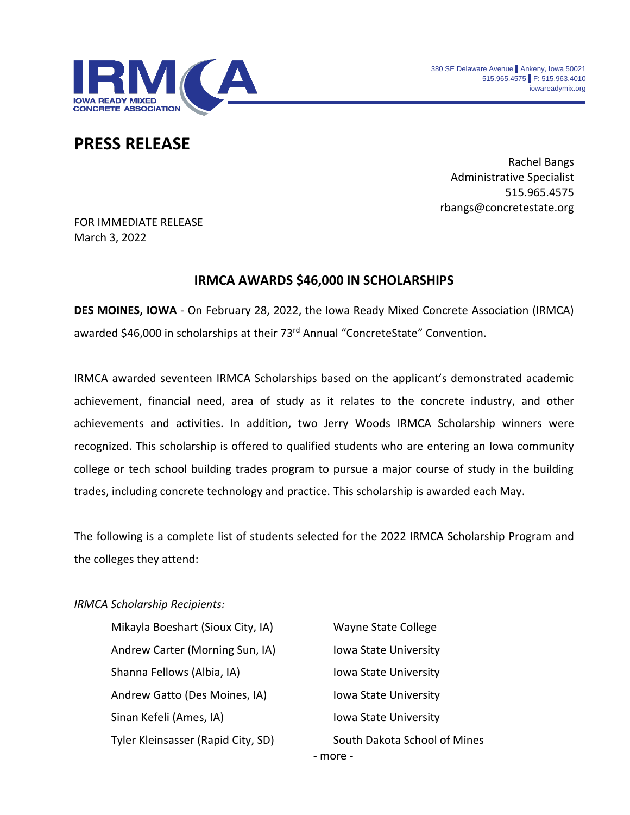

## **PRESS RELEASE**

Rachel Bangs Administrative Specialist 515.965.4575 rbangs@concretestate.org

FOR IMMEDIATE RELEASE March 3, 2022

## **IRMCA AWARDS \$46,000 IN SCHOLARSHIPS**

**DES MOINES, IOWA** - On February 28, 2022, the Iowa Ready Mixed Concrete Association (IRMCA) awarded \$46,000 in scholarships at their 73<sup>rd</sup> Annual "ConcreteState" Convention.

IRMCA awarded seventeen IRMCA Scholarships based on the applicant's demonstrated academic achievement, financial need, area of study as it relates to the concrete industry, and other achievements and activities. In addition, two Jerry Woods IRMCA Scholarship winners were recognized. This scholarship is offered to qualified students who are entering an Iowa community college or tech school building trades program to pursue a major course of study in the building trades, including concrete technology and practice. This scholarship is awarded each May.

The following is a complete list of students selected for the 2022 IRMCA Scholarship Program and the colleges they attend:

## *IRMCA Scholarship Recipients:*

Mikayla Boeshart (Sioux City, IA) Wayne State College Andrew Carter (Morning Sun, IA) Iowa State University Shanna Fellows (Albia, IA) Iowa State University Andrew Gatto (Des Moines, IA) Iowa State University Sinan Kefeli (Ames, IA) International State University Tyler Kleinsasser (Rapid City, SD) South Dakota School of Mines

- more -